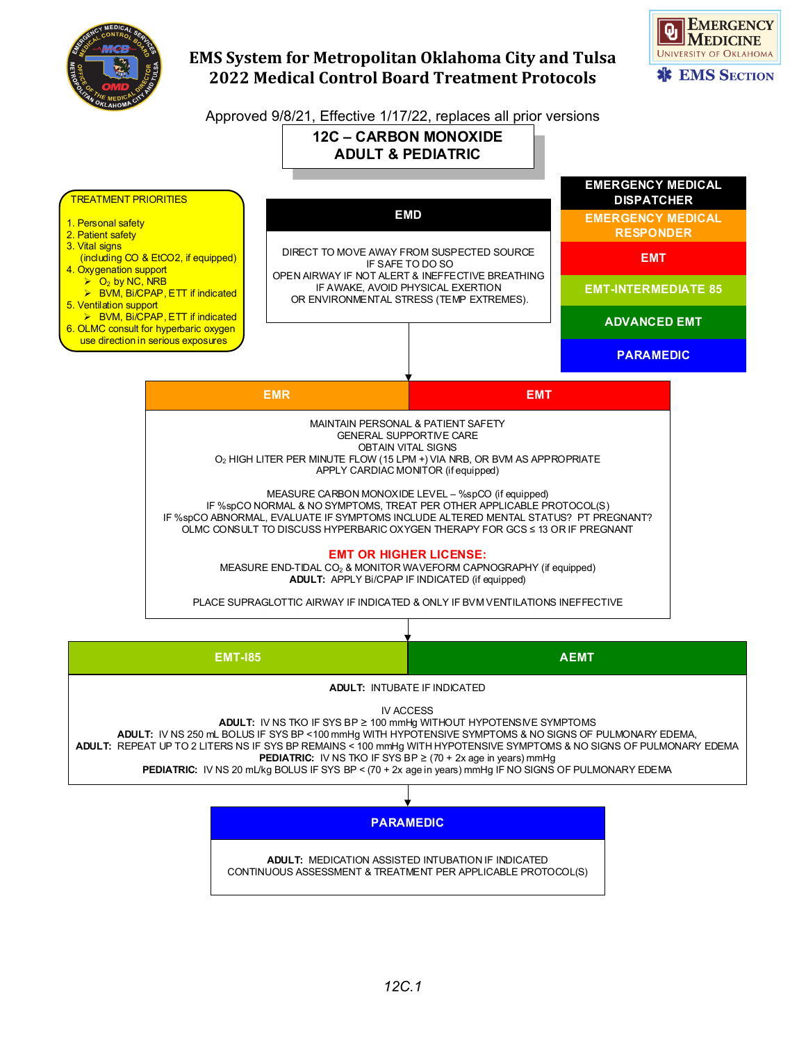



Approved 9/8/21, Effective 1/17/22, replaces all prior versions



| <b>EMT-185</b>                                                                                                                                                                                                                                                                                                                                                                                                                                                                                                              | <b>AEMT</b> |
|-----------------------------------------------------------------------------------------------------------------------------------------------------------------------------------------------------------------------------------------------------------------------------------------------------------------------------------------------------------------------------------------------------------------------------------------------------------------------------------------------------------------------------|-------------|
| <b>ADULT: INTUBATE IF INDICATED</b>                                                                                                                                                                                                                                                                                                                                                                                                                                                                                         |             |
| <b>IV ACCESS</b><br><b>ADULT:</b> IV NS TKO IF SYS BP $\geq$ 100 mmHg WITHOUT HYPOTENS IVE SYMPTOMS<br>ADULT: IV NS 250 mL BOLUS IF SYS BP < 100 mmHg WITH HYPOTENSIVE SYMPTOMS & NO SIGNS OF PULMONARY EDEMA,<br>ADULT: REPEAT UP TO 2 LITERS NS IF SYS BP REMAINS < 100 mmHg WITH HYPOTENSIVE SYMPTOMS & NO SIGNS OF PULMONARY EDEMA<br><b>PEDIATRIC:</b> IV NS TKO IF SYS BP $\ge$ (70 + 2x age in years) mmHg<br>PEDIATRIC: IV NS 20 mL/kg BOLUS IF SYS BP < (70 + 2x age in years) mmHg IF NO SIGNS OF PULMONARY EDEMA |             |
|                                                                                                                                                                                                                                                                                                                                                                                                                                                                                                                             |             |

**PARAMEDIC**

**ADULT:** MEDICATION ASSISTED INTUBATION IF INDICATED CONTINUOUS ASSESSMENT & TREATMENT PER APPLICABLE PROTOCOL(S)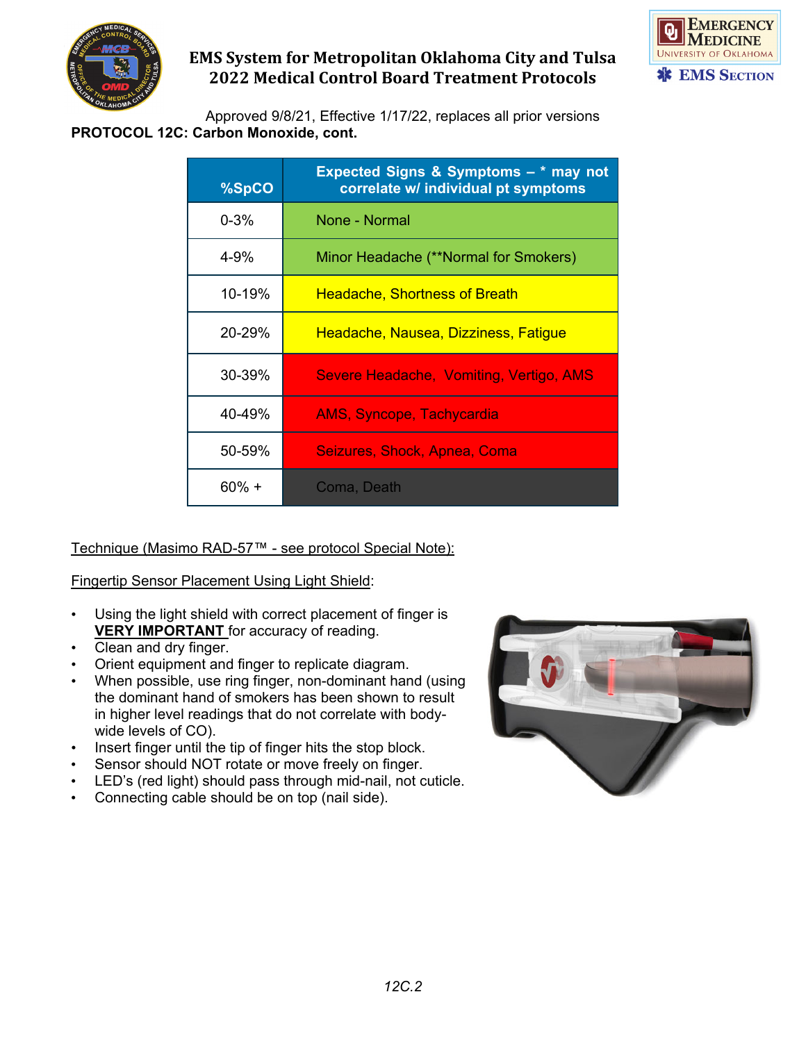



Approved 9/8/21, Effective 1/17/22, replaces all prior versions **PROTOCOL 12C: Carbon Monoxide, cont.**

| %SpCO    | Expected Signs & Symptoms - * may not<br>correlate w/ individual pt symptoms |
|----------|------------------------------------------------------------------------------|
| $0 - 3%$ | None - Normal                                                                |
| 4-9%     | Minor Headache (**Normal for Smokers)                                        |
| 10-19%   | <b>Headache, Shortness of Breath</b>                                         |
| 20-29%   | Headache, Nausea, Dizziness, Fatigue                                         |
| 30-39%   | Severe Headache, Vomiting, Vertigo, AMS                                      |
| 40-49%   | <b>AMS, Syncope, Tachycardia</b>                                             |
| 50-59%   | Seizures, Shock, Apnea, Coma                                                 |
| 60% +    | Coma, Death                                                                  |

### Technique (Masimo RAD-57™ - see protocol Special Note):

### Fingertip Sensor Placement Using Light Shield:

- Using the light shield with correct placement of finger is **VERY IMPORTANT** for accuracy of reading.
- Clean and dry finger.
- Orient equipment and finger to replicate diagram.
- When possible, use ring finger, non-dominant hand (using the dominant hand of smokers has been shown to result in higher level readings that do not correlate with bodywide levels of CO).
- Insert finger until the tip of finger hits the stop block.
- Sensor should NOT rotate or move freely on finger.
- LED's (red light) should pass through mid-nail, not cuticle.
- Connecting cable should be on top (nail side).

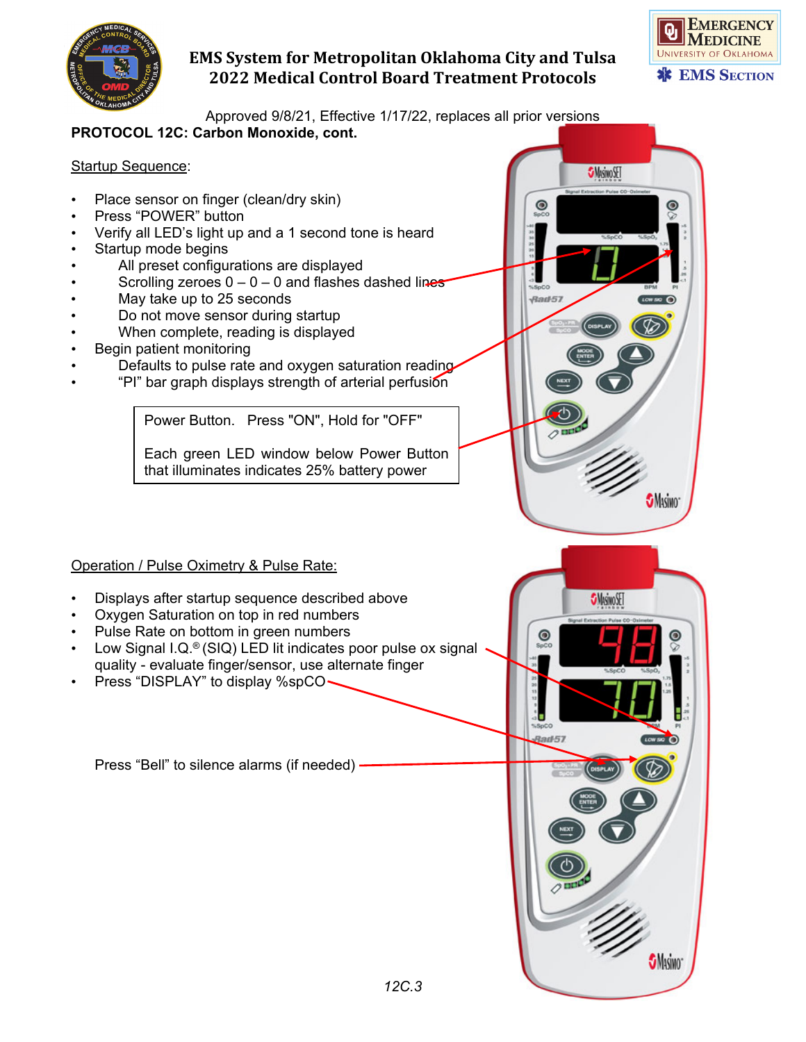



 $\circledcirc$ 

**S**Misino

**SMASIMO** 

**SMsivoSET** 

 $\odot$ 

 $\sqrt{3}$ ad-57

 $\mathbf{Q}$ 

Approved 9/8/21, Effective 1/17/22, replaces all prior versions

### **PROTOCOL 12C: Carbon Monoxide, cont.**

### **Startup Sequence:**

- Place sensor on finger (clean/dry skin)
- Press "POWER" button
- Verify all LED's light up and a 1 second tone is heard
- Startup mode begins
- All preset configurations are displayed
- Scrolling zeroes  $0 0 0$  and flashes dashed lines
- May take up to 25 seconds
- Do not move sensor during startup
- When complete, reading is displayed
- Begin patient monitoring
- Defaults to pulse rate and oxygen saturation reading
- "PI" bar graph displays strength of arterial perfusion

Power Button. Press "ON", Hold for "OFF"

Each green LED window below Power Button that illuminates indicates 25% battery power

### Operation / Pulse Oximetry & Pulse Rate:

- Displays after startup sequence described above
- Oxygen Saturation on top in red numbers
- Pulse Rate on bottom in green numbers
- Low Signal I.Q.<sup>®</sup> (SIQ) LED lit indicates poor pulse ox signal quality - evaluate finger/sensor, use alternate finger
- Press "DISPLAY" to display %spCO

Press "Bell" to silence alarms (if needed)